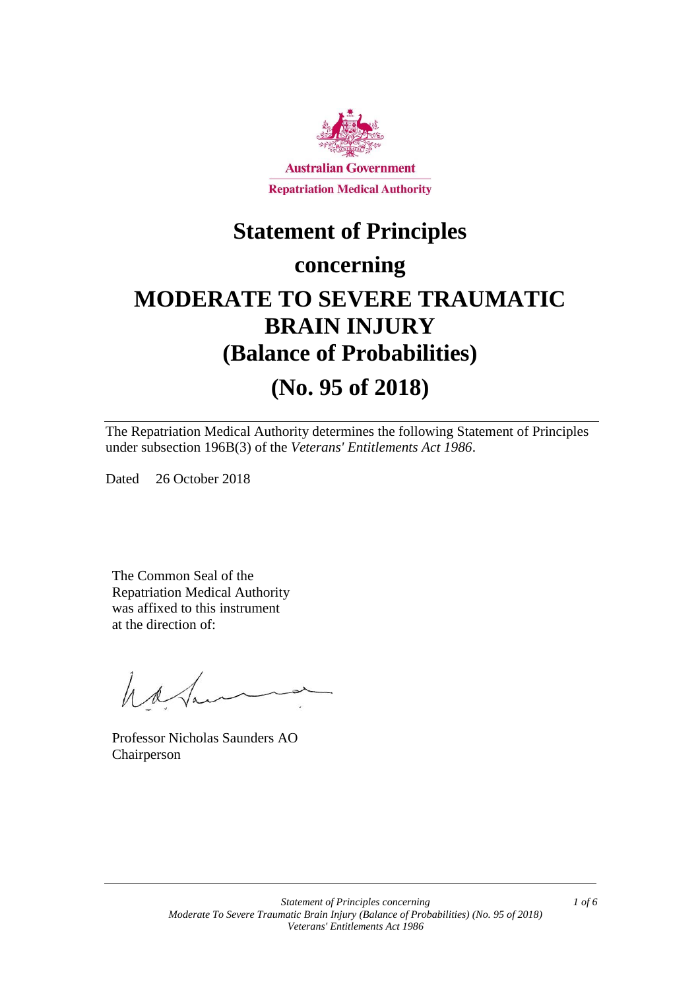

# **Statement of Principles**

# **concerning**

# **MODERATE TO SEVERE TRAUMATIC BRAIN INJURY (Balance of Probabilities) (No. 95 of 2018)**

The Repatriation Medical Authority determines the following Statement of Principles under subsection 196B(3) of the *Veterans' Entitlements Act 1986*.

Dated 26 October 2018

The Common Seal of the Repatriation Medical Authority was affixed to this instrument at the direction of:

hatan

Professor Nicholas Saunders AO Chairperson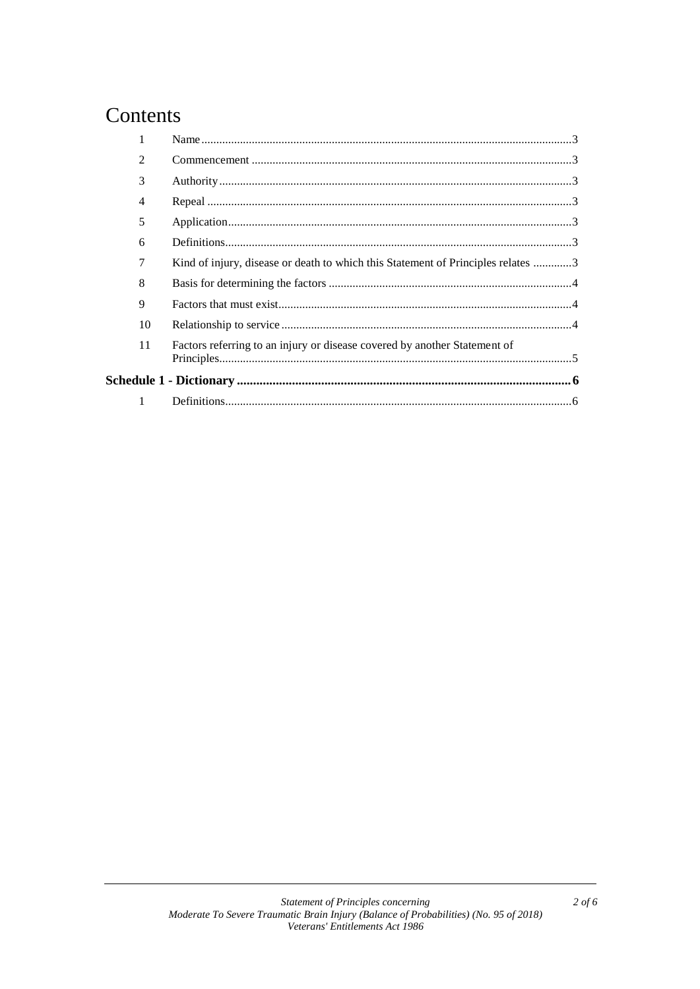# Contents

|  | $\overline{2}$ |                                                                                  |  |
|--|----------------|----------------------------------------------------------------------------------|--|
|  | 3              |                                                                                  |  |
|  | 4              |                                                                                  |  |
|  | 5              |                                                                                  |  |
|  | 6              |                                                                                  |  |
|  | 7              | Kind of injury, disease or death to which this Statement of Principles relates 3 |  |
|  | 8              |                                                                                  |  |
|  | 9              |                                                                                  |  |
|  | 10             |                                                                                  |  |
|  | 11             | Factors referring to an injury or disease covered by another Statement of        |  |
|  |                |                                                                                  |  |
|  |                |                                                                                  |  |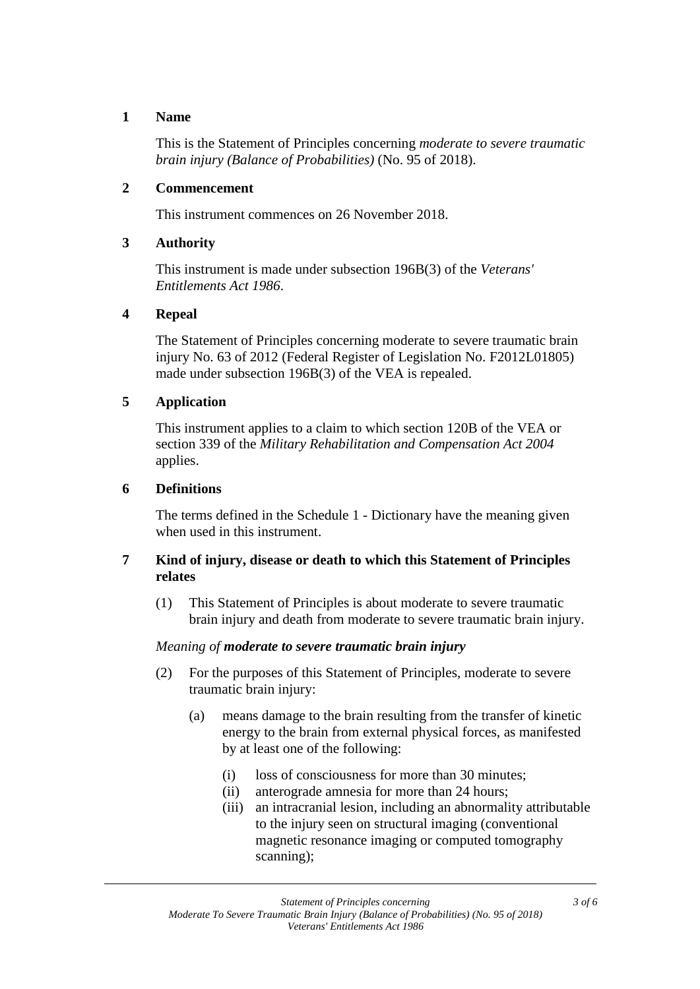### **1 Name**

This is the Statement of Principles concerning *moderate to severe traumatic brain injury (Balance of Probabilities)* (No. 95 of 2018).

### **2 Commencement**

This instrument commences on 26 November 2018.

# **3 Authority**

This instrument is made under subsection 196B(3) of the *Veterans' Entitlements Act 1986*.

# **4 Repeal**

The Statement of Principles concerning moderate to severe traumatic brain injury No. 63 of 2012 (Federal Register of Legislation No. F2012L01805) made under subsection 196B(3) of the VEA is repealed.

# **5 Application**

This instrument applies to a claim to which section 120B of the VEA or section 339 of the *Military Rehabilitation and Compensation Act 2004* applies.

# **6 Definitions**

The terms defined in the Schedule 1 - Dictionary have the meaning given when used in this instrument.

# **7 Kind of injury, disease or death to which this Statement of Principles relates**

(1) This Statement of Principles is about moderate to severe traumatic brain injury and death from moderate to severe traumatic brain injury.

# *Meaning of moderate to severe traumatic brain injury*

- (2) For the purposes of this Statement of Principles, moderate to severe traumatic brain injury:
	- (a) means damage to the brain resulting from the transfer of kinetic energy to the brain from external physical forces, as manifested by at least one of the following:
		- (i) loss of consciousness for more than 30 minutes;
		- (ii) anterograde amnesia for more than 24 hours;
		- (iii) an intracranial lesion, including an abnormality attributable to the injury seen on structural imaging (conventional magnetic resonance imaging or computed tomography scanning);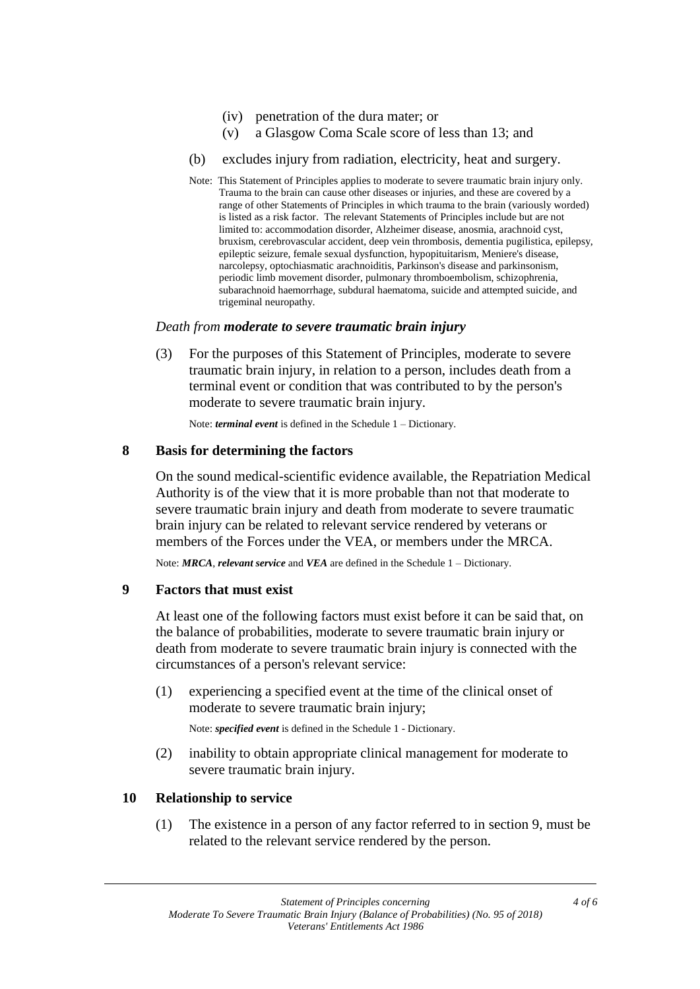- (iv) penetration of the dura mater; or
- (v) a Glasgow Coma Scale score of less than 13; and
- (b) excludes injury from radiation, electricity, heat and surgery.
- Note: This Statement of Principles applies to moderate to severe traumatic brain injury only. Trauma to the brain can cause other diseases or injuries, and these are covered by a range of other Statements of Principles in which trauma to the brain (variously worded) is listed as a risk factor. The relevant Statements of Principles include but are not limited to: accommodation disorder, Alzheimer disease, anosmia, arachnoid cyst, bruxism, cerebrovascular accident, deep vein thrombosis, dementia pugilistica, epilepsy, epileptic seizure, female sexual dysfunction, hypopituitarism, Meniere's disease, narcolepsy, optochiasmatic arachnoiditis, Parkinson's disease and parkinsonism, periodic limb movement disorder, pulmonary thromboembolism, schizophrenia, subarachnoid haemorrhage, subdural haematoma, suicide and attempted suicide, and trigeminal neuropathy.

#### *Death from moderate to severe traumatic brain injury*

(3) For the purposes of this Statement of Principles, moderate to severe traumatic brain injury, in relation to a person, includes death from a terminal event or condition that was contributed to by the person's moderate to severe traumatic brain injury.

Note: *terminal event* is defined in the Schedule 1 – Dictionary.

#### **8 Basis for determining the factors**

On the sound medical-scientific evidence available, the Repatriation Medical Authority is of the view that it is more probable than not that moderate to severe traumatic brain injury and death from moderate to severe traumatic brain injury can be related to relevant service rendered by veterans or members of the Forces under the VEA, or members under the MRCA.

Note: *MRCA*, *relevant service* and *VEA* are defined in the Schedule 1 – Dictionary.

#### **9 Factors that must exist**

At least one of the following factors must exist before it can be said that, on the balance of probabilities, moderate to severe traumatic brain injury or death from moderate to severe traumatic brain injury is connected with the circumstances of a person's relevant service:

(1) experiencing a specified event at the time of the clinical onset of moderate to severe traumatic brain injury;

Note: *specified event* is defined in the Schedule 1 - Dictionary.

(2) inability to obtain appropriate clinical management for moderate to severe traumatic brain injury.

#### **10 Relationship to service**

(1) The existence in a person of any factor referred to in section 9, must be related to the relevant service rendered by the person.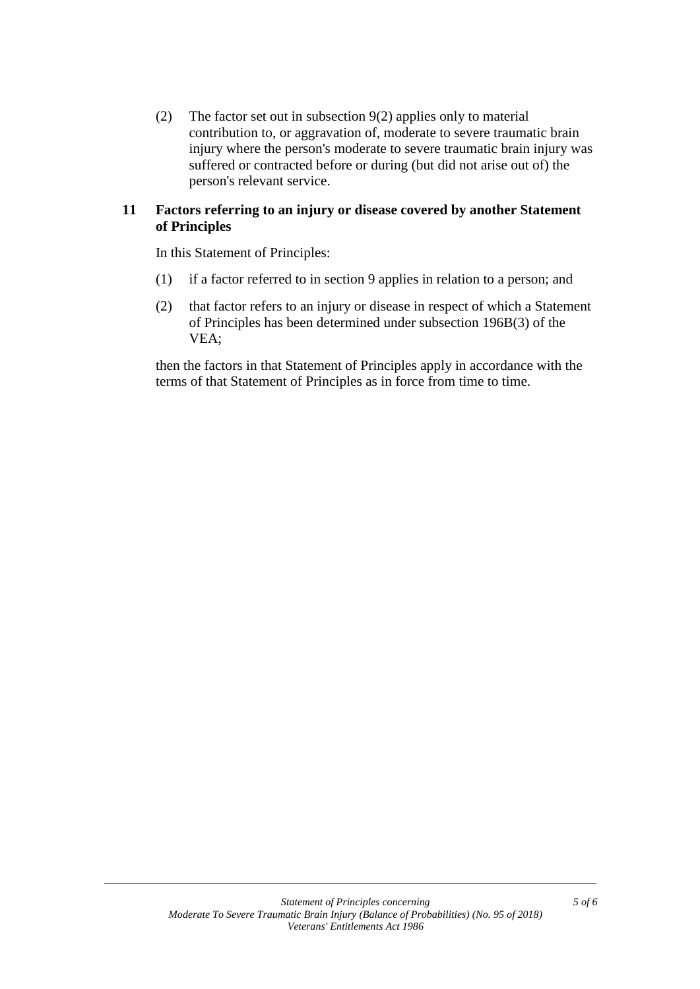(2) The factor set out in subsection 9(2) applies only to material contribution to, or aggravation of, moderate to severe traumatic brain injury where the person's moderate to severe traumatic brain injury was suffered or contracted before or during (but did not arise out of) the person's relevant service.

# **11 Factors referring to an injury or disease covered by another Statement of Principles**

In this Statement of Principles:

- (1) if a factor referred to in section 9 applies in relation to a person; and
- (2) that factor refers to an injury or disease in respect of which a Statement of Principles has been determined under subsection 196B(3) of the VEA;

then the factors in that Statement of Principles apply in accordance with the terms of that Statement of Principles as in force from time to time.